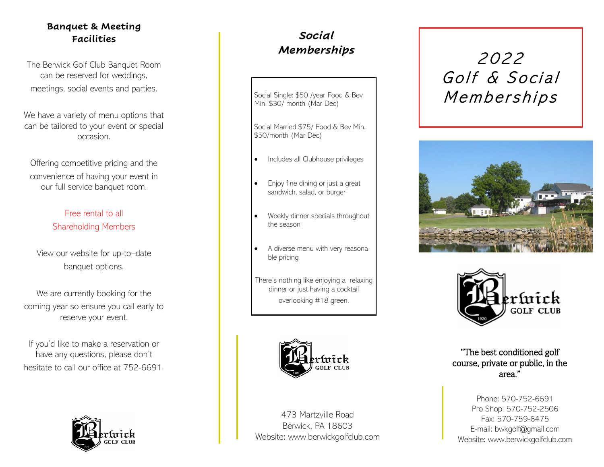#### **Banquet & Meeting Facilities**

The Berwick Golf Club Banquet Room can be reserved for weddings, meetings, social events and parties.

We have a variety of menu options that can be tailored to your event or special occasion.

Offering competitive pricing and the convenience of having your event in our full service banquet room.

## Free rental to all Shareholding Members

View our website for up-to–date banquet options.

We are currently booking for the coming year so ensure you call early to reserve your event.

If you'd like to make a reservation or have any questions, please don't hesitate to call our office at 752-6691.



## *Social Memberships*

Social Single: \$50 /year Food & Bev Min. \$30/ month (Mar-Dec)

Social Married \$75/ Food & Bev Min. \$50/month (Mar-Dec)

- Includes all Clubhouse privileges
- Enjoy fine dining or just a great sandwich, salad, or burger
- Weekly dinner specials throughout the season
- A diverse menu with very reasonable pricing
- There's nothing like enjoying a relaxing dinner or just having a cocktail overlooking #18 green.



473 Martzville Road Berwick, PA 18603 Website: www.berwickgolfclub.com

# 2022 Golf & Social Memberships





"The best conditioned golf course, private or public, in the area."

Phone: 570-752-6691 Pro Shop: 570-752-2506 Fax: 570-759-6475 E-mail: bwkgolf@gmail.com Website: www.berwickgolfclub.com